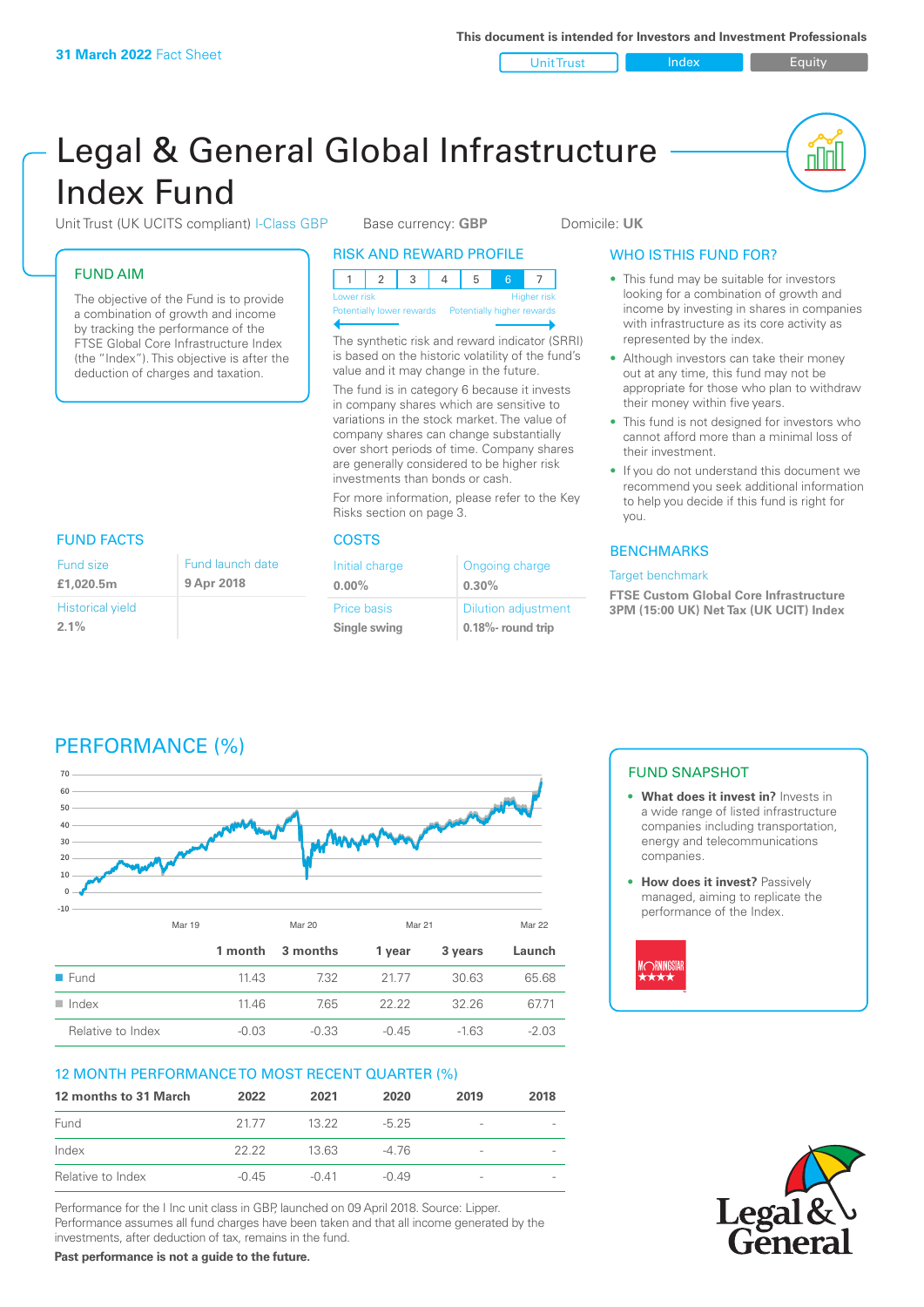Unit Trust Index I Equity

nl M

# Legal & General Global Infrastructure Index Fund

Unit Trust (UK UCITS compliant) I-Class GBP Base currency: **GBP** Domicile: UK

# FUND AIM

The objective of the Fund is to provide a combination of growth and income by tracking the performance of the FTSE Global Core Infrastructure Index (the "Index"). This objective is after the deduction of charges and taxation.

# RISK AND REWARD PROFILE

| Lower risk |  |  |  |  | <b>Higher risk</b> |
|------------|--|--|--|--|--------------------|

**Potentially lower rewards** 

The synthetic risk and reward indicator (SRRI) is based on the historic volatility of the fund's value and it may change in the future.

The fund is in category 6 because it invests in company shares which are sensitive to variations in the stock market. The value of company shares can change substantially over short periods of time. Company shares are generally considered to be higher risk investments than bonds or cash.

For more information, please refer to the Key Risks section on page 3.

# FUND FACTS COSTS

| Initial charge | Ongoing charge             |
|----------------|----------------------------|
| $0.00\%$       | 0.30%                      |
| Price basis    | <b>Dilution adjustment</b> |
| Single swing   | 0.18%- round trip          |

# WHO IS THIS FUND FOR?

- This fund may be suitable for investors looking for a combination of growth and income by investing in shares in companies with infrastructure as its core activity as represented by the index.
- Although investors can take their money out at any time, this fund may not be appropriate for those who plan to withdraw their money within five years.
- This fund is not designed for investors who cannot afford more than a minimal loss of their investment.
- If you do not understand this document we recommend you seek additional information to help you decide if this fund is right for you.

# **BENCHMARKS**

### Target benchmark

**FTSE Custom Global Core Infrastructure 3PM (15:00 UK) Net Tax (UK UCIT) Index**

| Fund size               | Fund launch date |
|-------------------------|------------------|
| £1.020.5m               | 9 Apr 2018       |
| <b>Historical yield</b> |                  |
| $2.1\%$                 |                  |

PERFORMANCE (%)

# **70 60 50 40** mm **30 20 10 0 -10** Mar 19 Mar 20 Mar 21 Mar 22 **1 month 3 months 1 year 3 years Launch** ■ Fund 11.43 7.32 21.77 30.63 65.68 n Index 11.46 7.65 22.22 32.26 67.71 Relative to Index  $-0.03$   $-0.33$   $-0.45$   $-1.63$   $-2.03$

# 12 MONTH PERFORMANCE TO MOST RECENT QUARTER (%)

| 12 months to 31 March | 2022    | 2021    | 2020    | 2019            | 2018 |
|-----------------------|---------|---------|---------|-----------------|------|
| Fund                  | 21.77   | 13.22   | $-525$  | -               |      |
| Index                 | 22.22   | 13 63   | $-476$  | $\qquad \qquad$ |      |
| Relative to Index     | $-0.45$ | $-0.41$ | $-0.49$ | $\qquad \qquad$ |      |

Performance for the I Inc unit class in GBP, launched on 09 April 2018. Source: Lipper. Performance assumes all fund charges have been taken and that all income generated by the investments, after deduction of tax, remains in the fund.

**Past performance is not a guide to the future.**

# FUND SNAPSHOT

- **• What does it invest in?** Invests in a wide range of listed infrastructure companies including transportation, energy and telecommunications companies.
- **• How does it invest?** Passively managed, aiming to replicate the performance of the Index.



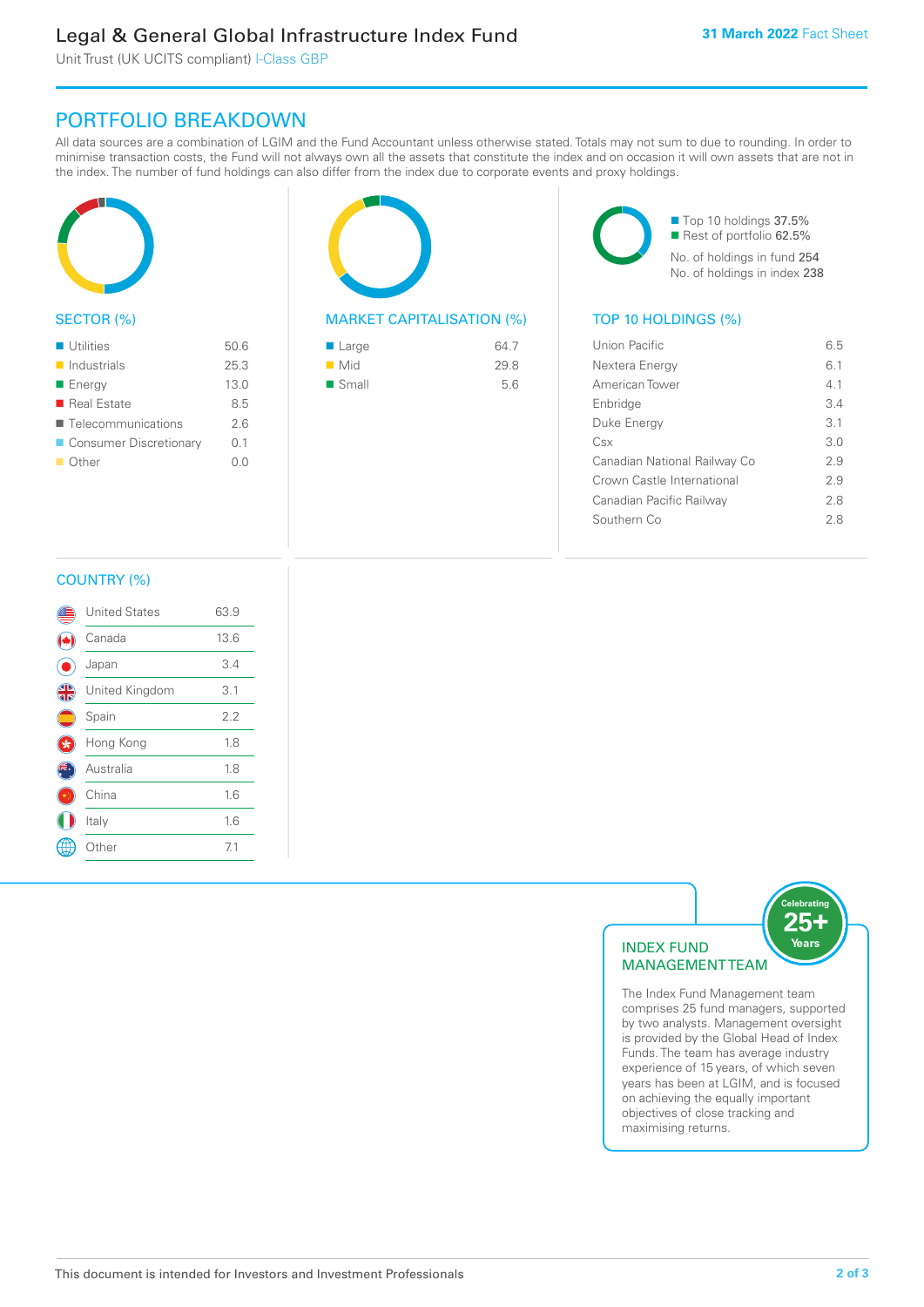# Legal & General Global Infrastructure Index Fund

Unit Trust (UK UCITS compliant) I-Class GBP

# PORTFOLIO BREAKDOWN

All data sources are a combination of LGIM and the Fund Accountant unless otherwise stated. Totals may not sum to due to rounding. In order to minimise transaction costs, the Fund will not always own all the assets that constitute the index and on occasion it will own assets that are not in the index. The number of fund holdings can also differ from the index due to corporate events and proxy holdings.



# SECTOR (%)

| <b>Utilities</b>           | 50.6 |
|----------------------------|------|
| $\blacksquare$ Industrials | 25.3 |
| ■ Energy                   | 13.0 |
| ■ Real Estate              | 8.5  |
| ■ Telecommunications       | 26   |
| ■ Consumer Discretionary   | 0.1  |
| ■ Other                    | 0.0  |
|                            |      |



# MARKET CAPITALISATION (%) TOP 10 HOLDINGS (%)

| ■ Large              | 64.7 |
|----------------------|------|
| $\blacksquare$ Mid   | 29.8 |
| $\blacksquare$ Small | 5.6  |

■ Top 10 holdings 37.5% Rest of portfolio 62.5% No. of holdings in fund 254 No. of holdings in index 238

| Union Pacific                | 65  |
|------------------------------|-----|
| Nextera Energy               | 61  |
| American Tower               | 41  |
| Enbridge                     | 34  |
| Duke Energy                  | 3.1 |
| Csx                          | 3 O |
| Canadian National Railway Co | 29  |
| Crown Castle International   | 29  |
| Canadian Pacific Railway     | 28  |
| Southern Co                  | 28  |
|                              |     |

# COUNTRY (%)

|               | <b>United States</b> | 63.9 |  |
|---------------|----------------------|------|--|
|               | Canada               | 13.6 |  |
|               | Japan                | 3.4  |  |
| $\frac{4}{3}$ | United Kingdom       | 3.1  |  |
|               | Spain                | 2.2  |  |
|               | Hong Kong            | 1.8  |  |
|               | Australia            | 1.8  |  |
|               | China                | 1.6  |  |
|               | Italy                | 1.6  |  |
|               | Other                | 7.1  |  |
|               |                      |      |  |



comprises 25 fund managers, supported by two analysts. Management oversight is provided by the Global Head of Index Funds. The team has average industry experience of 15 years, of which seven years has been at LGIM, and is focused on achieving the equally important objectives of close tracking and maximising returns.